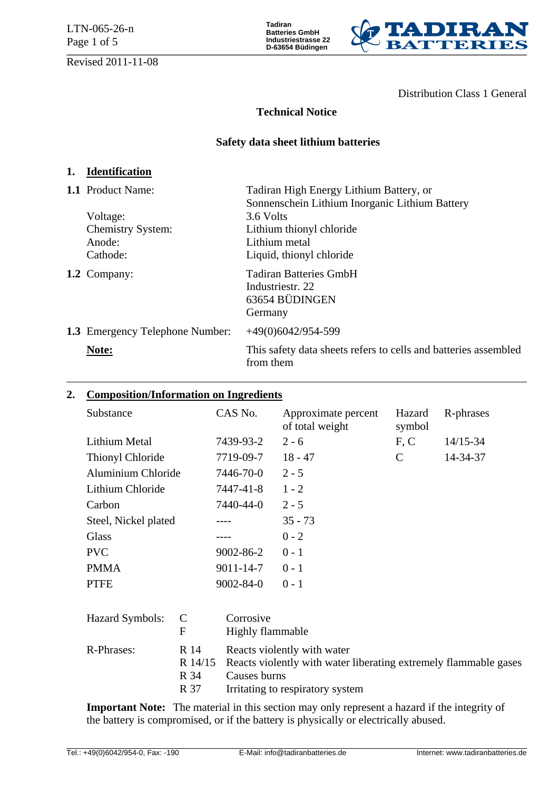LTN-065-26-n Page 1 of 5

Revised 2011-11-08

**Tadiran Batteries GmbH Industriestrasse 22 D-63654 Büdingen** 



Distribution Class 1 General

# **Technical Notice**

# **Safety data sheet lithium batteries**

# **1. Identification**

| 1.1 Product Name:                      | Tadiran High Energy Lithium Battery, or                                        |  |
|----------------------------------------|--------------------------------------------------------------------------------|--|
|                                        | Sonnenschein Lithium Inorganic Lithium Battery                                 |  |
| Voltage:                               | 3.6 Volts                                                                      |  |
| <b>Chemistry System:</b>               | Lithium thionyl chloride                                                       |  |
| Anode:                                 | Lithium metal                                                                  |  |
| Cathode:                               | Liquid, thionyl chloride                                                       |  |
| 1.2 Company:                           | <b>Tadiran Batteries GmbH</b><br>Industriestr. 22<br>63654 BÜDINGEN<br>Germany |  |
| <b>1.3</b> Emergency Telephone Number: | $+49(0)6042/954-599$                                                           |  |
| Note:                                  | This safety data sheets refers to cells and batteries assembled<br>from them   |  |

# **2. Composition/Information on Ingredients**

| Substance            | CAS No.         | Approximate percent<br>of total weight | Hazard<br>symbol | R-phrases |
|----------------------|-----------------|----------------------------------------|------------------|-----------|
| Lithium Metal        | 7439-93-2       | $2 - 6$                                | F, C             | 14/15-34  |
| Thionyl Chloride     | 7719-09-7       | $18 - 47$                              | C                | 14-34-37  |
| Aluminium Chloride   | 7446-70-0       | $2 - 5$                                |                  |           |
| Lithium Chloride     | 7447-41-8       | $1 - 2$                                |                  |           |
| Carbon               | 7440-44-0       | $2 - 5$                                |                  |           |
| Steel, Nickel plated |                 | $35 - 73$                              |                  |           |
| <b>Glass</b>         |                 | $0 - 2$                                |                  |           |
| <b>PVC</b>           | $9002 - 86 - 2$ | $0 - 1$                                |                  |           |
| <b>PMMA</b>          | $9011 - 14 - 7$ | $0 - 1$                                |                  |           |
| <b>PTFE</b>          | $9002 - 84 - 0$ | $0 - 1$                                |                  |           |

| Hazard Symbols: C | F                    | Corrosive<br>Highly flammable                                                                                                                               |
|-------------------|----------------------|-------------------------------------------------------------------------------------------------------------------------------------------------------------|
| R-Phrases:        | R 14<br>R 34<br>R 37 | Reacts violently with water<br>R 14/15 Reacts violently with water liberating extremely flammable gases<br>Causes burns<br>Irritating to respiratory system |

**Important Note:** The material in this section may only represent a hazard if the integrity of the battery is compromised, or if the battery is physically or electrically abused.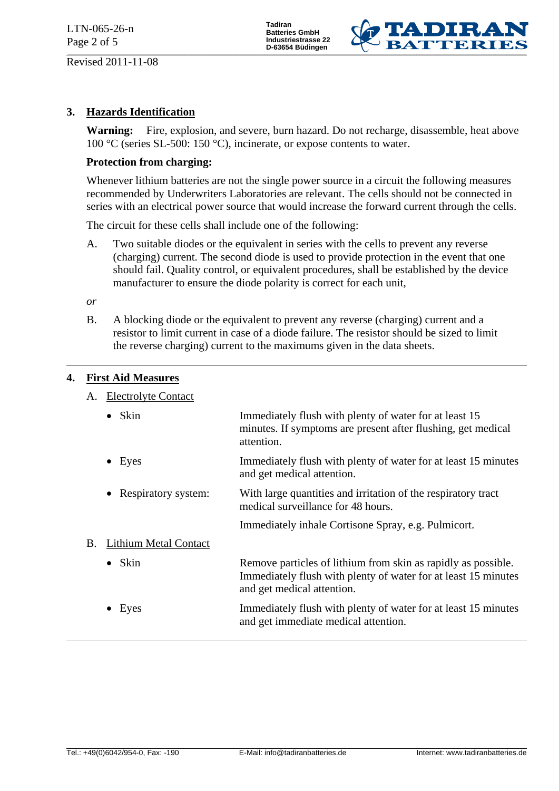Revised 2011-11-08

**Tadiran Batteries GmbH Industriestrasse 22 D-63654 Büdingen** 



# **3. Hazards Identification**

**Warning:** Fire, explosion, and severe, burn hazard. Do not recharge, disassemble, heat above 100 °C (series SL-500: 150 °C), incinerate, or expose contents to water.

#### **Protection from charging:**

 Whenever lithium batteries are not the single power source in a circuit the following measures recommended by Underwriters Laboratories are relevant. The cells should not be connected in series with an electrical power source that would increase the forward current through the cells.

The circuit for these cells shall include one of the following:

 A. Two suitable diodes or the equivalent in series with the cells to prevent any reverse (charging) current. The second diode is used to provide protection in the event that one should fail. Quality control, or equivalent procedures, shall be established by the device manufacturer to ensure the diode polarity is correct for each unit,

*or* 

 B. A blocking diode or the equivalent to prevent any reverse (charging) current and a resistor to limit current in case of a diode failure. The resistor should be sized to limit the reverse charging) current to the maximums given in the data sheets.

### **4. First Aid Measures**

#### A. Electrolyte Contact

|    | $\bullet$ Skin               | Immediately flush with plenty of water for at least 15<br>minutes. If symptoms are present after flushing, get medical<br>attention.                          |
|----|------------------------------|---------------------------------------------------------------------------------------------------------------------------------------------------------------|
|    | $\bullet$ Eyes               | Immediately flush with plenty of water for at least 15 minutes<br>and get medical attention.                                                                  |
|    | • Respiratory system:        | With large quantities and irritation of the respiratory tract<br>medical surveillance for 48 hours.                                                           |
|    |                              | Immediately inhale Cortisone Spray, e.g. Pulmicort.                                                                                                           |
| Β. | <b>Lithium Metal Contact</b> |                                                                                                                                                               |
|    | $\bullet$ Skin               | Remove particles of lithium from skin as rapidly as possible.<br>Immediately flush with plenty of water for at least 15 minutes<br>and get medical attention. |
|    | $\bullet$ Eyes               | Immediately flush with plenty of water for at least 15 minutes<br>and get immediate medical attention.                                                        |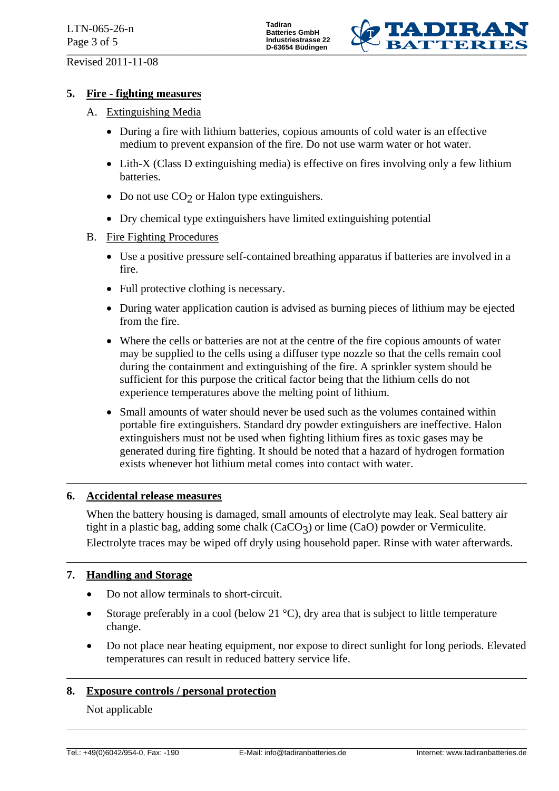

## **5. Fire - fighting measures**

- A. Extinguishing Media
	- During a fire with lithium batteries, copious amounts of cold water is an effective medium to prevent expansion of the fire. Do not use warm water or hot water.
	- Lith-X (Class D extinguishing media) is effective on fires involving only a few lithium batteries.
	- Do not use  $CO<sub>2</sub>$  or Halon type extinguishers.
	- Dry chemical type extinguishers have limited extinguishing potential
- B. Fire Fighting Procedures
	- Use a positive pressure self-contained breathing apparatus if batteries are involved in a fire.
	- Full protective clothing is necessary.
	- During water application caution is advised as burning pieces of lithium may be ejected from the fire.
	- Where the cells or batteries are not at the centre of the fire copious amounts of water may be supplied to the cells using a diffuser type nozzle so that the cells remain cool during the containment and extinguishing of the fire. A sprinkler system should be sufficient for this purpose the critical factor being that the lithium cells do not experience temperatures above the melting point of lithium.
	- Small amounts of water should never be used such as the volumes contained within portable fire extinguishers. Standard dry powder extinguishers are ineffective. Halon extinguishers must not be used when fighting lithium fires as toxic gases may be generated during fire fighting. It should be noted that a hazard of hydrogen formation exists whenever hot lithium metal comes into contact with water.

### **6. Accidental release measures**

 When the battery housing is damaged, small amounts of electrolyte may leak. Seal battery air tight in a plastic bag, adding some chalk  $(CaCO<sub>3</sub>)$  or lime  $(CaO)$  powder or Vermiculite. Electrolyte traces may be wiped off dryly using household paper. Rinse with water afterwards.

### **7. Handling and Storage**

- Do not allow terminals to short-circuit.
- Storage preferably in a cool (below 21 °C), dry area that is subject to little temperature change.
- Do not place near heating equipment, nor expose to direct sunlight for long periods. Elevated temperatures can result in reduced battery service life.

### **8. Exposure controls / personal protection**

Not applicable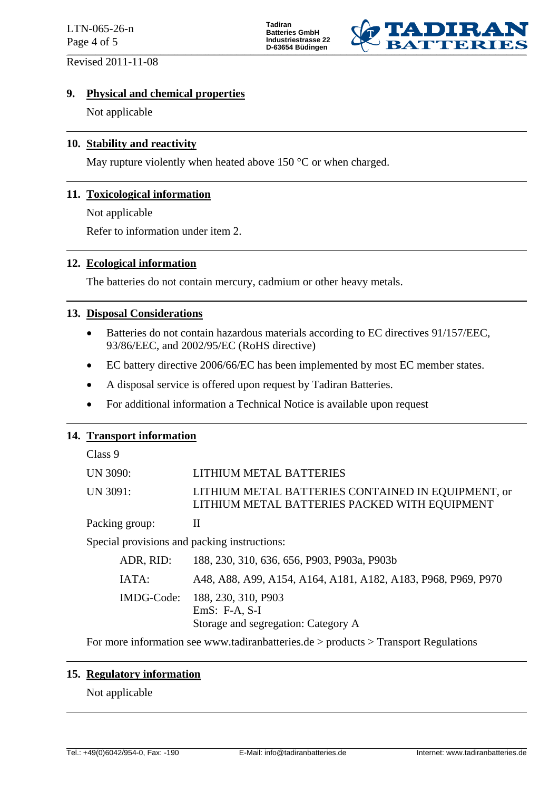LTN-065-26-n Page 4 of 5

Revised 2011-11-08

**Tadiran Batteries GmbH Industriestrasse 22 D-63654 Büdingen** 



### **9. Physical and chemical properties**

Not applicable

### **10. Stability and reactivity**

May rupture violently when heated above 150 °C or when charged.

### **11. Toxicological information**

Not applicable

Refer to information under item 2.

### **12. Ecological information**

The batteries do not contain mercury, cadmium or other heavy metals.

### **13. Disposal Considerations**

- Batteries do not contain hazardous materials according to EC directives 91/157/EEC, 93/86/EEC, and 2002/95/EC (RoHS directive)
- EC battery directive 2006/66/EC has been implemented by most EC member states.
- A disposal service is offered upon request by Tadiran Batteries.
- For additional information a Technical Notice is available upon request

### **14. Transport information**

Class 9

| UN 3090: | LITHIUM METAL BATTERIES                                                                             |
|----------|-----------------------------------------------------------------------------------------------------|
| UN 3091: | LITHIUM METAL BATTERIES CONTAINED IN EQUIPMENT, or<br>LITHIUM METAL BATTERIES PACKED WITH EQUIPMENT |

Packing group: II

Special provisions and packing instructions:

| ADR, RID: |                                                   | 188, 230, 310, 636, 656, P903, P903a, P903b                   |  |
|-----------|---------------------------------------------------|---------------------------------------------------------------|--|
| IATA:     |                                                   | A48, A88, A99, A154, A164, A181, A182, A183, P968, P969, P970 |  |
|           | IMDG-Code: 188, 230, 310, P903<br>$EmS: F-A, S-I$ | Storage and segregation: Category A                           |  |

For more information see www.tadiranbatteries.de > products > Transport Regulations

### **15. Regulatory information**

Not applicable